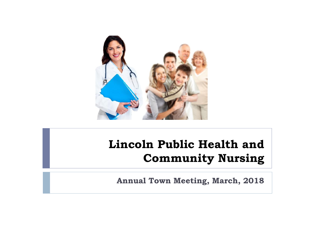

#### **Lincoln Public Health and Community Nursing**

**Annual Town Meeting, March, 2018**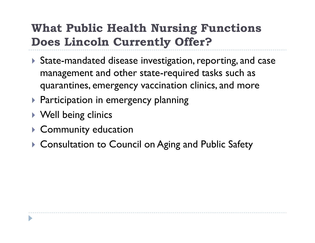### **What Public Health Nursing Functions Does Lincoln Currently Offer?**

- State-mandated disease investigation, reporting, and case management and other state-required tasks such as quarantines, emergency vaccination clinics, and more
- ▶ Participation in emergency planning
- ▶ Well being clinics
- ▶ Community education
- ▶ Consultation to Council on Aging and Public Safety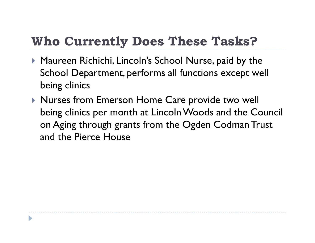## **Who Currently Does These Tasks?**

- ▶ Maureen Richichi, Lincoln's School Nurse, paid by the School Department, performs all functions except well being clinics
- ▶ Nurses from Emerson Home Care provide two well being clinics per month at Lincoln Woods and the Council on Aging through grants from the Ogden Codman Trust and the Pierce House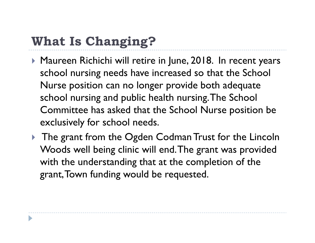# **What Is Changing?**

- ▶ Maureen Richichi will retire in June, 2018. In recent years school nursing needs have increased so that the School Nurse position can no longer provide both adequate school nursing and public health nursing. The School Committee has asked that the School Nurse position be exclusively for school needs.
- ▶ The grant from the Ogden Codman Trust for the Lincoln Woods well being clinic will end. The grant was provided with the understanding that at the completion of the grant, Town funding would be requested.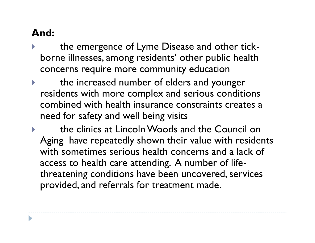#### **And:**

- the emergence of Lyme Disease and other tick borne illnesses, among residents' other public health concerns require more community education
- the increased number of elders and younger residents with more complex and serious conditions combined with health insurance constraints creates a need for safety and well being visits
- the clinics at Lincoln Woods and the Council on Aging have repeatedly shown their value with residents with sometimes serious health concerns and a lack of access to health care attending. A number of life threatening conditions have been uncovered, services provided, and referrals for treatment made.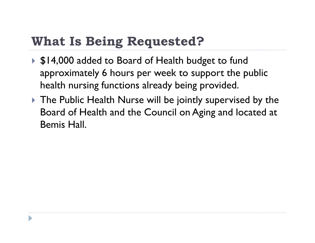## **What Is Being Requested?**

- ▶ \$14,000 added to Board of Health budget to fund approximately 6 hours per week to support the public health nursing functions already being provided.
- ▶ The Public Health Nurse will be jointly supervised by the Board of Health and the Council on Aging and located at Bemis Hall.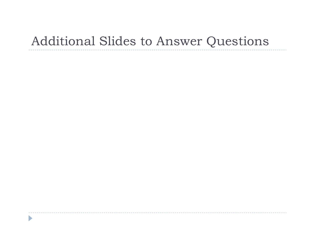## Additional Slides to Answer Questions

 $\blacktriangleright$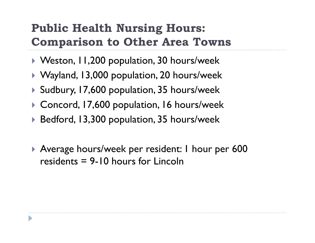## **Public Health Nursing Hours: Comparison to Other Area Towns**

- ▶ Weston, I I, 200 population, 30 hours/week
- ▶ Wayland, 13,000 population, 20 hours/week
- ▶ Sudbury, 17,600 population, 35 hours/week
- ▶ Concord, 17,600 population, 16 hours/week
- ▶ Bedford, 13,300 population, 35 hours/week
- ▶ Average hours/week per resident: I hour per 600 residents = 9-10 hours for Lincoln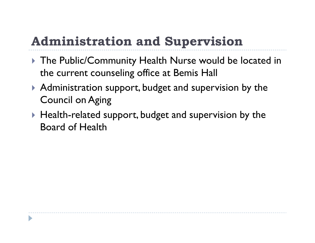# **Administration and Supervision**

- ▶ The Public/Community Health Nurse would be located in the current counseling office at Bemis Hall
- ▶ Administration support, budget and supervision by the Council on Aging
- $\blacktriangleright$  Health-related support, budget and supervision by the Board of Health

D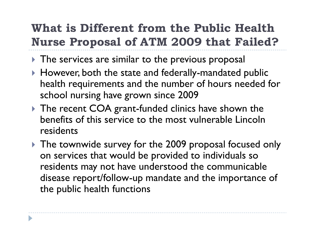## **What is Different from the Public Health Nurse Proposal of ATM 2009 that Failed?**

- The services are similar to the previous proposal
- ▶ However, both the state and federally-mandated public health requirements and the number of hours needed for school nursing have grown since 2009
- ▶ The recent COA grant-funded clinics have shown the benefits of this service to the most vulnerable Lincoln residents
- ▶ The townwide survey for the 2009 proposal focused only on services that would be provided to individuals so residents may not have understood the communicable disease report/follow-up mandate and the importance of the public health functions